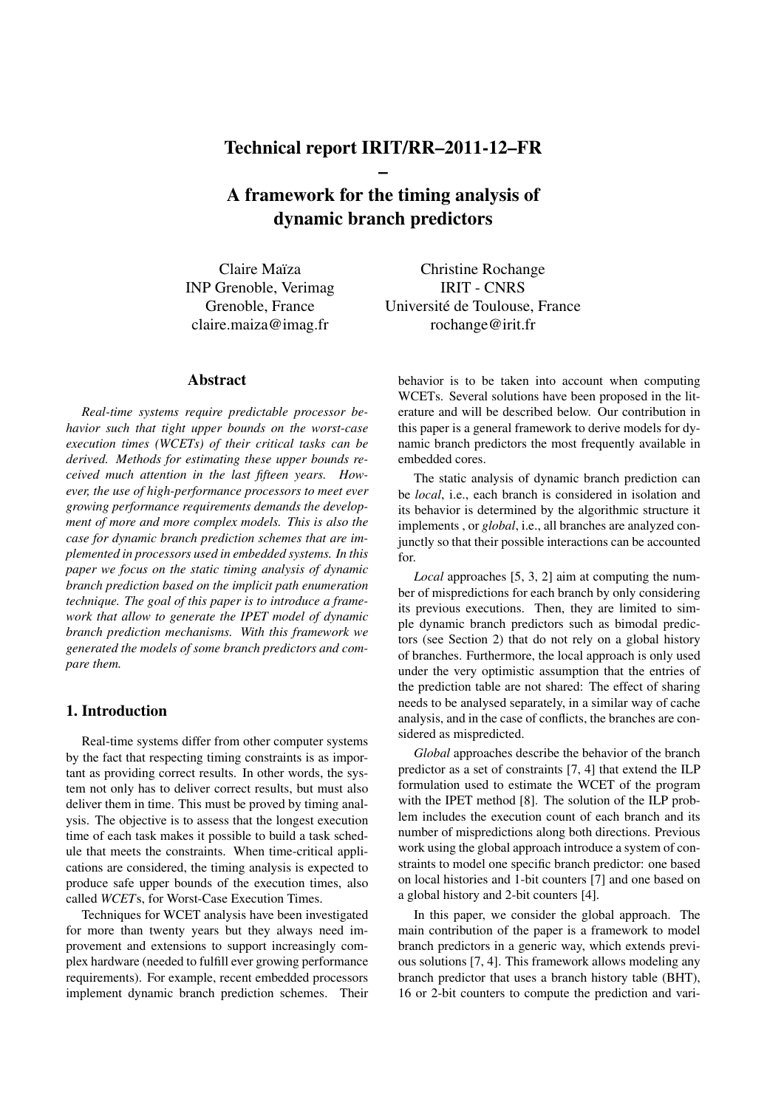# Technical report IRIT/RR–2011-12–FR –

A framework for the timing analysis of dynamic branch predictors

Claire Maïza INP Grenoble, Verimag Grenoble, France claire.maiza@imag.fr

## Abstract

*Real-time systems require predictable processor behavior such that tight upper bounds on the worst-case execution times (WCETs) of their critical tasks can be derived. Methods for estimating these upper bounds received much attention in the last fifteen years. However, the use of high-performance processors to meet ever growing performance requirements demands the development of more and more complex models. This is also the case for dynamic branch prediction schemes that are implemented in processors used in embedded systems. In this paper we focus on the static timing analysis of dynamic branch prediction based on the implicit path enumeration technique. The goal of this paper is to introduce a framework that allow to generate the IPET model of dynamic branch prediction mechanisms. With this framework we generated the models of some branch predictors and compare them.*

## 1. Introduction

Real-time systems differ from other computer systems by the fact that respecting timing constraints is as important as providing correct results. In other words, the system not only has to deliver correct results, but must also deliver them in time. This must be proved by timing analysis. The objective is to assess that the longest execution time of each task makes it possible to build a task schedule that meets the constraints. When time-critical applications are considered, the timing analysis is expected to produce safe upper bounds of the execution times, also called *WCET*s, for Worst-Case Execution Times.

Techniques for WCET analysis have been investigated for more than twenty years but they always need improvement and extensions to support increasingly complex hardware (needed to fulfill ever growing performance requirements). For example, recent embedded processors implement dynamic branch prediction schemes. Their

Christine Rochange IRIT - CNRS Universite de Toulouse, France ´ rochange@irit.fr

behavior is to be taken into account when computing WCETs. Several solutions have been proposed in the literature and will be described below. Our contribution in this paper is a general framework to derive models for dynamic branch predictors the most frequently available in embedded cores.

The static analysis of dynamic branch prediction can be *local*, i.e., each branch is considered in isolation and its behavior is determined by the algorithmic structure it implements , or *global*, i.e., all branches are analyzed conjunctly so that their possible interactions can be accounted for.

*Local* approaches [5, 3, 2] aim at computing the number of mispredictions for each branch by only considering its previous executions. Then, they are limited to simple dynamic branch predictors such as bimodal predictors (see Section 2) that do not rely on a global history of branches. Furthermore, the local approach is only used under the very optimistic assumption that the entries of the prediction table are not shared: The effect of sharing needs to be analysed separately, in a similar way of cache analysis, and in the case of conflicts, the branches are considered as mispredicted.

*Global* approaches describe the behavior of the branch predictor as a set of constraints [7, 4] that extend the ILP formulation used to estimate the WCET of the program with the IPET method [8]. The solution of the ILP problem includes the execution count of each branch and its number of mispredictions along both directions. Previous work using the global approach introduce a system of constraints to model one specific branch predictor: one based on local histories and 1-bit counters [7] and one based on a global history and 2-bit counters [4].

In this paper, we consider the global approach. The main contribution of the paper is a framework to model branch predictors in a generic way, which extends previous solutions [7, 4]. This framework allows modeling any branch predictor that uses a branch history table (BHT), 16 or 2-bit counters to compute the prediction and vari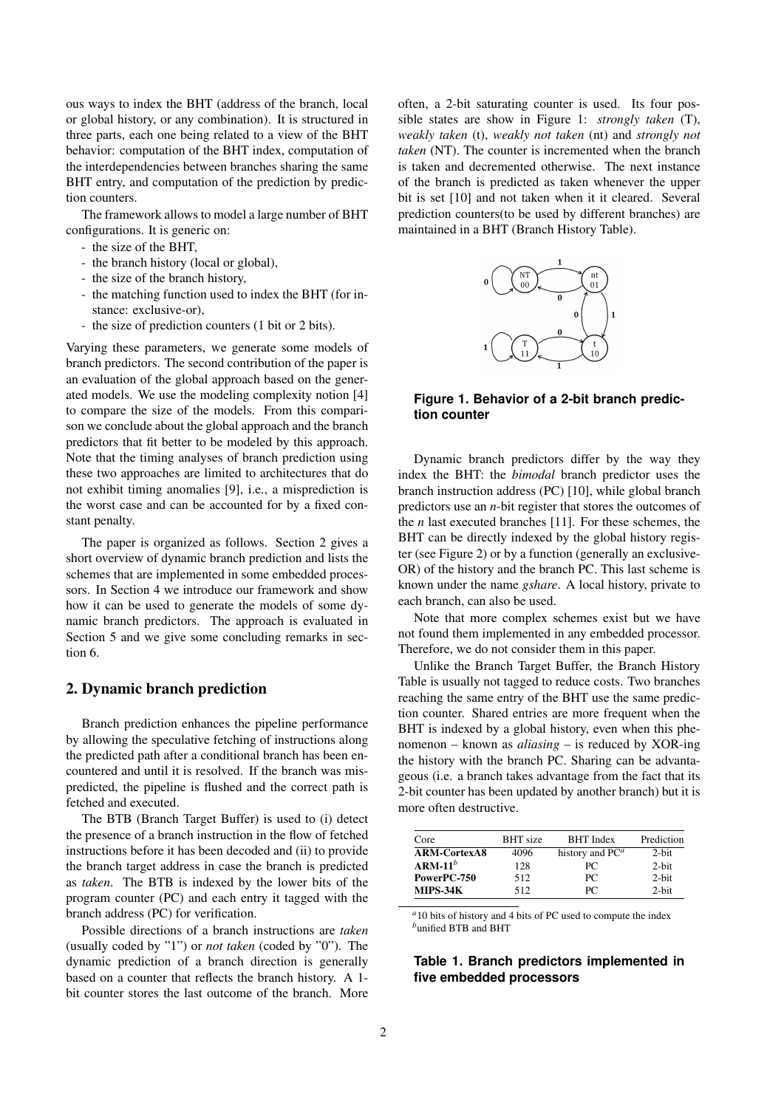ous ways to index the BHT (address of the branch, local or global history, or any combination). It is structured in three parts, each one being related to a view of the BHT behavior: computation of the BHT index, computation of the interdependencies between branches sharing the same BHT entry, and computation of the prediction by prediction counters.

The framework allows to model a large number of BHT configurations. It is generic on:

- the size of the BHT,
- the branch history (local or global),
- the size of the branch history,
- the matching function used to index the BHT (for instance: exclusive-or),
- the size of prediction counters (1 bit or 2 bits).

Varying these parameters, we generate some models of branch predictors. The second contribution of the paper is an evaluation of the global approach based on the generated models. We use the modeling complexity notion [4] to compare the size of the models. From this comparison we conclude about the global approach and the branch predictors that fit better to be modeled by this approach. Note that the timing analyses of branch prediction using these two approaches are limited to architectures that do not exhibit timing anomalies [9], i.e., a misprediction is the worst case and can be accounted for by a fixed constant penalty.

The paper is organized as follows. Section 2 gives a short overview of dynamic branch prediction and lists the schemes that are implemented in some embedded processors. In Section 4 we introduce our framework and show how it can be used to generate the models of some dynamic branch predictors. The approach is evaluated in Section 5 and we give some concluding remarks in section 6.

## 2. Dynamic branch prediction

Branch prediction enhances the pipeline performance by allowing the speculative fetching of instructions along the predicted path after a conditional branch has been encountered and until it is resolved. If the branch was mispredicted, the pipeline is flushed and the correct path is fetched and executed.

The BTB (Branch Target Buffer) is used to (i) detect the presence of a branch instruction in the flow of fetched instructions before it has been decoded and (ii) to provide the branch target address in case the branch is predicted as *taken*. The BTB is indexed by the lower bits of the program counter (PC) and each entry it tagged with the branch address (PC) for verification.

Possible directions of a branch instructions are *taken* (usually coded by "1") or *not taken* (coded by "0"). The dynamic prediction of a branch direction is generally based on a counter that reflects the branch history. A 1 bit counter stores the last outcome of the branch. More

often, a 2-bit saturating counter is used. Its four possible states are show in Figure 1: *strongly taken* (T), *weakly taken* (t), *weakly not taken* (nt) and *strongly not taken* (NT). The counter is incremented when the branch is taken and decremented otherwise. The next instance of the branch is predicted as taken whenever the upper bit is set [10] and not taken when it it cleared. Several prediction counters(to be used by different branches) are maintained in a BHT (Branch History Table).



## **Figure 1. Behavior of a 2-bit branch prediction counter**

Dynamic branch predictors differ by the way they index the BHT: the *bimodal* branch predictor uses the branch instruction address (PC) [10], while global branch predictors use an *n*-bit register that stores the outcomes of the *n* last executed branches [11]. For these schemes, the BHT can be directly indexed by the global history register (see Figure 2) or by a function (generally an exclusive-OR) of the history and the branch PC. This last scheme is known under the name *gshare*. A local history, private to each branch, can also be used.

Note that more complex schemes exist but we have not found them implemented in any embedded processor. Therefore, we do not consider them in this paper.

Unlike the Branch Target Buffer, the Branch History Table is usually not tagged to reduce costs. Two branches reaching the same entry of the BHT use the same prediction counter. Shared entries are more frequent when the BHT is indexed by a global history, even when this phenomenon – known as *aliasing* – is reduced by XOR-ing the history with the branch PC. Sharing can be advantageous (i.e. a branch takes advantage from the fact that its 2-bit counter has been updated by another branch) but it is more often destructive.

| Core                | <b>BHT</b> size | <b>BHT</b> Index   | Prediction |
|---------------------|-----------------|--------------------|------------|
| <b>ARM-CortexA8</b> | 4096            | history and $PC^a$ | 2-bit      |
| $ARM-11b$           | 128             | PC.                | 2-bit      |
| PowerPC-750         | 512             | PC.                | $2$ -bit   |
| <b>MIPS-34K</b>     | 512             | PС                 | $2-hit$    |

*<sup>a</sup>*10 bits of history and 4 bits of PC used to compute the index *<sup>b</sup>*unified BTB and BHT

## **Table 1. Branch predictors implemented in five embedded processors**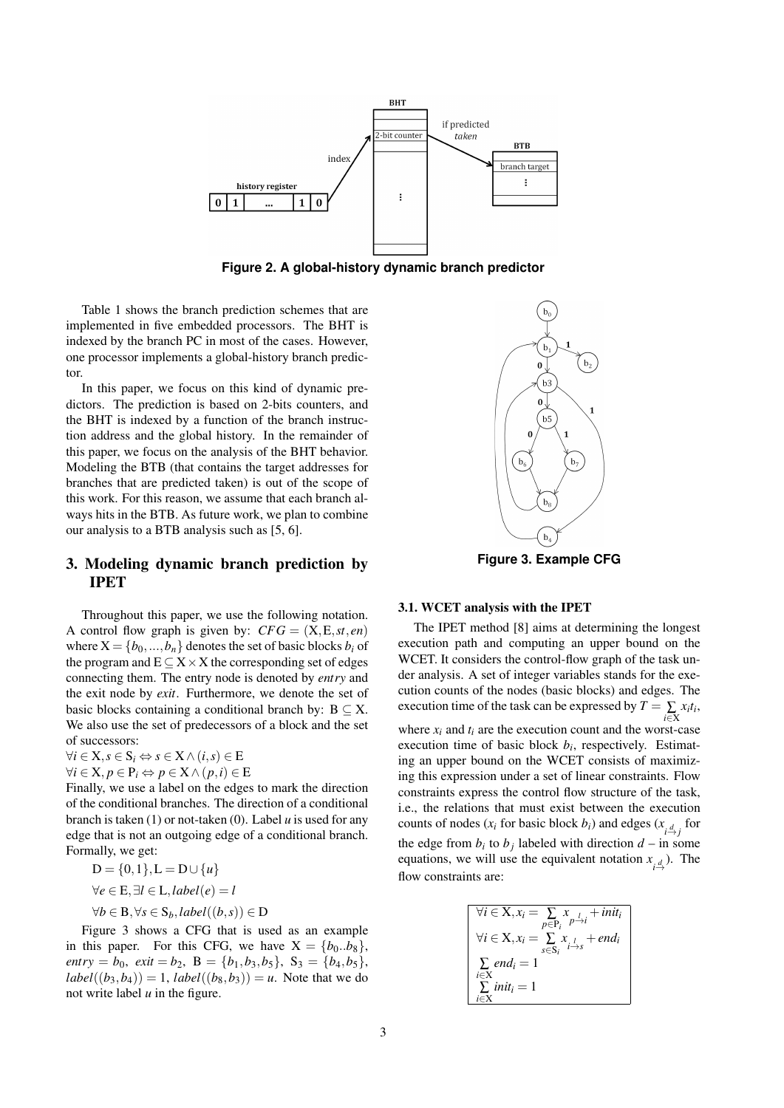

**Figure 2. A global-history dynamic branch predictor**

Table 1 shows the branch prediction schemes that are implemented in five embedded processors. The BHT is indexed by the branch PC in most of the cases. However, one processor implements a global-history branch predictor.

In this paper, we focus on this kind of dynamic predictors. The prediction is based on 2-bits counters, and the BHT is indexed by a function of the branch instruction address and the global history. In the remainder of this paper, we focus on the analysis of the BHT behavior. Modeling the BTB (that contains the target addresses for branches that are predicted taken) is out of the scope of this work. For this reason, we assume that each branch always hits in the BTB. As future work, we plan to combine our analysis to a BTB analysis such as [5, 6].

# 3. Modeling dynamic branch prediction by IPET

Throughout this paper, we use the following notation. A control flow graph is given by:  $CFG = (X, E, st, en)$ where  $X = \{b_0, ..., b_n\}$  denotes the set of basic blocks  $b_i$  of the program and E *⊆* X*×*X the corresponding set of edges connecting them. The entry node is denoted by *entry* and the exit node by *exit*. Furthermore, we denote the set of basic blocks containing a conditional branch by:  $B \subseteq X$ . We also use the set of predecessors of a block and the set of successors:

 $\forall i \in \mathbf{X}, s \in \mathbf{S}_i \Leftrightarrow s \in \mathbf{X} \wedge (i, s) \in \mathbf{E}$ 

 $\forall i \in \mathbf{X}, p \in \mathbf{P}_i \Leftrightarrow p \in \mathbf{X} \wedge (p, i) \in \mathbf{E}$ 

Finally, we use a label on the edges to mark the direction of the conditional branches. The direction of a conditional branch is taken (1) or not-taken (0). Label *u* is used for any edge that is not an outgoing edge of a conditional branch. Formally, we get:

 $D = \{0, 1\}$ ,  $L = D ∪ \{u\}$ *∀e ∈* E*,∃l ∈* L*,label*(*e*) = *l ∀b ∈* B*,∀s ∈* S*b,label*((*b,s*)) *∈* D

Figure 3 shows a CFG that is used as an example in this paper. For this CFG, we have  $X = \{b_0..b_8\}$ , *entry* = *b*<sub>0</sub>, *exit* = *b*<sub>2</sub>, **B** = {*b*<sub>1</sub>*,b*<sub>3</sub>*,b*<sub>5</sub>}, S<sub>3</sub> = {*b*<sub>4</sub>*,b*<sub>5</sub>}*,*  $label((b_3, b_4)) = 1$ ,  $label((b_8, b_3)) = u$ . Note that we do not write label *u* in the figure.



# 3.1. WCET analysis with the IPET

The IPET method [8] aims at determining the longest execution path and computing an upper bound on the WCET. It considers the control-flow graph of the task under analysis. A set of integer variables stands for the execution counts of the nodes (basic blocks) and edges. The execution time of the task can be expressed by  $T = \sum_{i \in \mathbf{X}} x_i t_i$ , where  $x_i$  and  $t_i$  are the execution count and the worst-case execution time of basic block  $b_i$ , respectively. Estimating an upper bound on the WCET consists of maximizing this expression under a set of linear constraints. Flow constraints express the control flow structure of the task, i.e., the relations that must exist between the execution counts of nodes ( $x_i$  for basic block  $b_i$ ) and edges ( $x_i$ <sub> $\frac{d}{d}$ </sub> for the edge from  $b_i$  to  $b_j$  labeled with direction  $d$  – in some equations, we will use the equivalent notation  $x_{\underset{i}{d}}$ ). The flow constraints are:

$$
\forall i \in X, x_i = \sum_{p \in P_i} x_{i} + init_i
$$
  
\n
$$
\forall i \in X, x_i = \sum_{s \in S_i} x_{i} + end_i
$$
  
\n
$$
\sum_{i \in X} end_i = 1
$$
  
\n
$$
\sum_{i \in X} init_i = 1
$$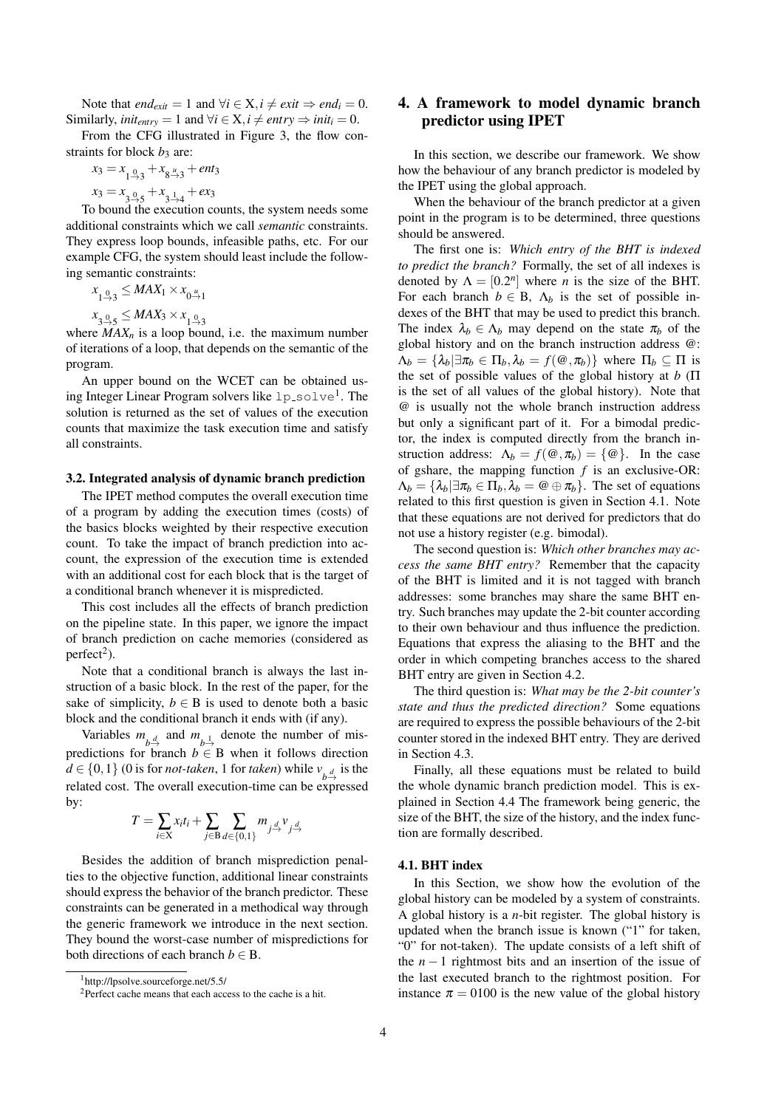Note that *end<sub>exit</sub>* = 1 and  $\forall i \in \mathbf{X}, i \neq exit \Rightarrow end_i = 0.$ Similarly,  $init_{entry} = 1$  and  $\forall i \in X, i \ne entry \Rightarrow init_i = 0.$ 

From the CFG illustrated in Figure 3, the flow constraints for block  $b_3$  are:

$$
x_3 = x_{1\frac{0}{2},3} + x_{8\frac{u}{2},3} + ent_3
$$

 $x_3 = x_{3\overset{0}{\rightarrow}5} + x_{3\overset{1}{\rightarrow}4} + e x_3$ 

To bound the execution counts, the system needs some additional constraints which we call *semantic* constraints. They express loop bounds, infeasible paths, etc. For our example CFG, the system should least include the following semantic constraints:

$$
x_{1\stackrel{0}{\rightarrow}3}\leq MAX_1\times x_{0\stackrel{u}{\rightarrow}1}
$$

 $x_{3\rightarrow 5} \leq MAX_3 \times x_{1\rightarrow 3}$ 

where  $MAX_n$  is a loop bound, i.e. the maximum number of iterations of a loop, that depends on the semantic of the program.

An upper bound on the WCET can be obtained using Integer Linear Program solvers like  $1p\_solve^1$ . The solution is returned as the set of values of the execution counts that maximize the task execution time and satisfy all constraints.

#### 3.2. Integrated analysis of dynamic branch prediction

The IPET method computes the overall execution time of a program by adding the execution times (costs) of the basics blocks weighted by their respective execution count. To take the impact of branch prediction into account, the expression of the execution time is extended with an additional cost for each block that is the target of a conditional branch whenever it is mispredicted.

This cost includes all the effects of branch prediction on the pipeline state. In this paper, we ignore the impact of branch prediction on cache memories (considered as  $perfect<sup>2</sup>$ ).

Note that a conditional branch is always the last instruction of a basic block. In the rest of the paper, for the sake of simplicity,  $b \in B$  is used to denote both a basic block and the conditional branch it ends with (if any).

Variables  $m_{b} \stackrel{d}{\rightarrow}$  and  $m_{b} \stackrel{1}{\rightarrow}$  denote the number of mispredictions for branch  $b \in B$  when it follows direction *d* ∈ {0, 1} (0 is for *not-taken*, 1 for *taken*) while  $v_{b}$ <sup>*d*</sup> is the related cost. The overall execution-time can be expressed by:

$$
T = \sum_{i \in \mathcal{X}} x_i t_i + \sum_{j \in \mathcal{B}} \sum_{d \in \{0,1\}} m_{j \stackrel{d}{\rightarrow}} v_{j \stackrel{d}{\rightarrow}}
$$

Besides the addition of branch misprediction penalties to the objective function, additional linear constraints should express the behavior of the branch predictor. These constraints can be generated in a methodical way through the generic framework we introduce in the next section. They bound the worst-case number of mispredictions for both directions of each branch  $b \in B$ .

# 4. A framework to model dynamic branch predictor using IPET

In this section, we describe our framework. We show how the behaviour of any branch predictor is modeled by the IPET using the global approach.

When the behaviour of the branch predictor at a given point in the program is to be determined, three questions should be answered.

The first one is: *Which entry of the BHT is indexed to predict the branch?* Formally, the set of all indexes is denoted by  $\Lambda = [0.2^n]$  where *n* is the size of the BHT. For each branch  $b \in B$ ,  $\Lambda_b$  is the set of possible indexes of the BHT that may be used to predict this branch. The index  $\lambda_h \in \Lambda_h$  may depend on the state  $\pi_h$  of the global history and on the branch instruction address @:  $\Lambda_b = {\lambda_b | \exists \pi_b \in \Pi_b, \lambda_b = f(\omega, \pi_b)}$  where  $\Pi_b \subseteq \Pi$  is the set of possible values of the global history at *b* (Π is the set of all values of the global history). Note that @ is usually not the whole branch instruction address but only a significant part of it. For a bimodal predictor, the index is computed directly from the branch instruction address:  $\Lambda_b = f(\mathcal{Q}, \pi_b) = \{\mathcal{Q}\}\$ . In the case of gshare, the mapping function *f* is an exclusive-OR:  $\Lambda_b = {\lambda_b | \exists \pi_b \in \Pi_b, \lambda_b = \omega \oplus \pi_b}.$  The set of equations related to this first question is given in Section 4.1. Note that these equations are not derived for predictors that do not use a history register (e.g. bimodal).

The second question is: *Which other branches may access the same BHT entry?* Remember that the capacity of the BHT is limited and it is not tagged with branch addresses: some branches may share the same BHT entry. Such branches may update the 2-bit counter according to their own behaviour and thus influence the prediction. Equations that express the aliasing to the BHT and the order in which competing branches access to the shared BHT entry are given in Section 4.2.

The third question is: *What may be the 2-bit counter's state and thus the predicted direction?* Some equations are required to express the possible behaviours of the 2-bit counter stored in the indexed BHT entry. They are derived in Section 4.3.

Finally, all these equations must be related to build the whole dynamic branch prediction model. This is explained in Section 4.4 The framework being generic, the size of the BHT, the size of the history, and the index function are formally described.

#### 4.1. BHT index

In this Section, we show how the evolution of the global history can be modeled by a system of constraints. A global history is a *n*-bit register. The global history is updated when the branch issue is known ("1" for taken, "0" for not-taken). The update consists of a left shift of the *n −* 1 rightmost bits and an insertion of the issue of the last executed branch to the rightmost position. For instance  $\pi = 0100$  is the new value of the global history

<sup>1</sup>http://lpsolve.sourceforge.net/5.5/

<sup>&</sup>lt;sup>2</sup>Perfect cache means that each access to the cache is a hit.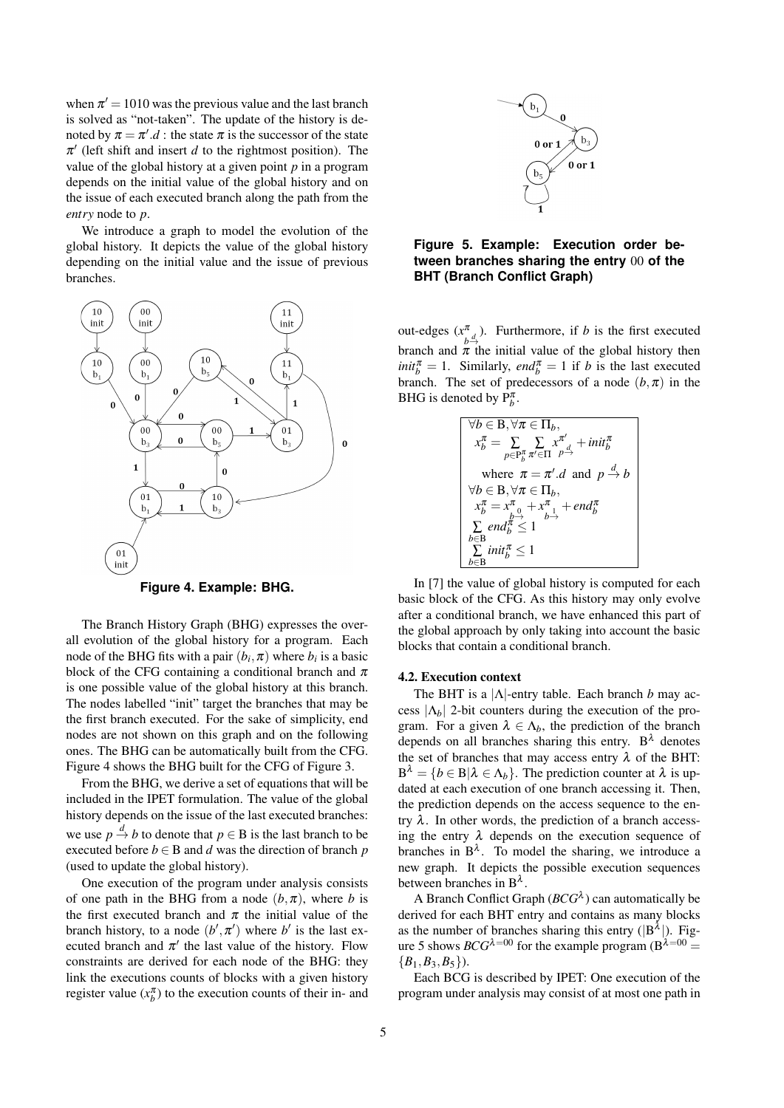when  $\pi' = 1010$  was the previous value and the last branch is solved as "not-taken". The update of the history is denoted by  $\pi = \pi'$ .*d*: the state  $\pi$  is the successor of the state  $\pi'$  (left shift and insert  $d$  to the rightmost position). The value of the global history at a given point *p* in a program depends on the initial value of the global history and on the issue of each executed branch along the path from the *entry* node to *p*.

We introduce a graph to model the evolution of the global history. It depicts the value of the global history depending on the initial value and the issue of previous branches.



**Figure 4. Example: BHG.**

The Branch History Graph (BHG) expresses the overall evolution of the global history for a program. Each node of the BHG fits with a pair  $(b_i, \pi)$  where  $b_i$  is a basic block of the CFG containing a conditional branch and  $\pi$ is one possible value of the global history at this branch. The nodes labelled "init" target the branches that may be the first branch executed. For the sake of simplicity, end nodes are not shown on this graph and on the following ones. The BHG can be automatically built from the CFG. Figure 4 shows the BHG built for the CFG of Figure 3.

From the BHG, we derive a set of equations that will be included in the IPET formulation. The value of the global history depends on the issue of the last executed branches: we use  $p \stackrel{d}{\rightarrow} b$  to denote that  $p \in B$  is the last branch to be executed before  $b \in B$  and *d* was the direction of branch *p* (used to update the global history).

One execution of the program under analysis consists of one path in the BHG from a node  $(b, \pi)$ , where *b* is the first executed branch and  $\pi$  the initial value of the branch history, to a node  $(b', \pi')$  where *b'* is the last executed branch and  $\pi'$  the last value of the history. Flow constraints are derived for each node of the BHG: they link the executions counts of blocks with a given history register value  $(x_b^{\pi})$  to the execution counts of their in- and



## **Figure 5. Example: Execution order between branches sharing the entry** 00 **of the BHT (Branch Conflict Graph)**

out-edges (*x* π  $\begin{bmatrix} \pi \\ b^d \end{bmatrix}$ . Furthermore, if *b* is the first executed branch and  $\pi$  the initial value of the global history then  $\text{init}_{b}^{\pi} = 1$ . Similarly, *end*<sub> $b$ </sub><sup> $\pi$ </sup> = 1 if *b* is the last executed branch. The set of predecessors of a node  $(b, \pi)$  in the BHG is denoted by  $P_b^{\pi}$ .

| $\forall b \in B, \forall \pi \in \Pi_b,$                                                                                           |
|-------------------------------------------------------------------------------------------------------------------------------------|
| $x_b^{\pi} = \sum\limits_{p \in \mathcal{P}_b^{\pi}} \sum\limits_{\pi' \in \Pi} \underset{p \rightarrow} {x^{\pi'}} + init_b^{\pi}$ |
| where $\pi = \pi'.d$ and $p \stackrel{d}{\rightarrow} b$                                                                            |
| $\forall b \in B, \forall \pi \in \Pi_h,$                                                                                           |
| $x_b^{\pi} = x_{b\rightarrow}^{\pi} + x_{b\rightarrow}^{\pi} + end_b^{\pi}$                                                         |
| $\sum$ end $\bar{n} \leq 1$                                                                                                         |
| b∈B<br>$\sum$ init $\frac{\pi}{b} \leq 1$                                                                                           |
|                                                                                                                                     |

In [7] the value of global history is computed for each basic block of the CFG. As this history may only evolve after a conditional branch, we have enhanced this part of the global approach by only taking into account the basic blocks that contain a conditional branch.

#### 4.2. Execution context

The BHT is a *|*Λ*|*-entry table. Each branch *b* may access  $|\Lambda_b|$  2-bit counters during the execution of the program. For a given  $\lambda \in \Lambda_b$ , the prediction of the branch depends on all branches sharing this entry.  $B^{\lambda}$  denotes the set of branches that may access entry  $\lambda$  of the BHT:  $B^{\lambda} = \{b \in B | \lambda \in \Lambda_b\}$ . The prediction counter at  $\lambda$  is updated at each execution of one branch accessing it. Then, the prediction depends on the access sequence to the entry  $\lambda$ . In other words, the prediction of a branch accessing the entry  $\lambda$  depends on the execution sequence of branches in  $B^{\lambda}$ . To model the sharing, we introduce a new graph. It depicts the possible execution sequences between branches in  $B^{\lambda}$ .

A Branch Conflict Graph  $(BCG^{\lambda})$  can automatically be derived for each BHT entry and contains as many blocks as the number of branches sharing this entry ( $|B^{\lambda}|$ ). Figure 5 shows *BCG*<sup> $\lambda=00$ </sup> for the example program (B<sup> $\lambda=00$ </sup>) *{B*1*,B*3*,B*5*}*).

Each BCG is described by IPET: One execution of the program under analysis may consist of at most one path in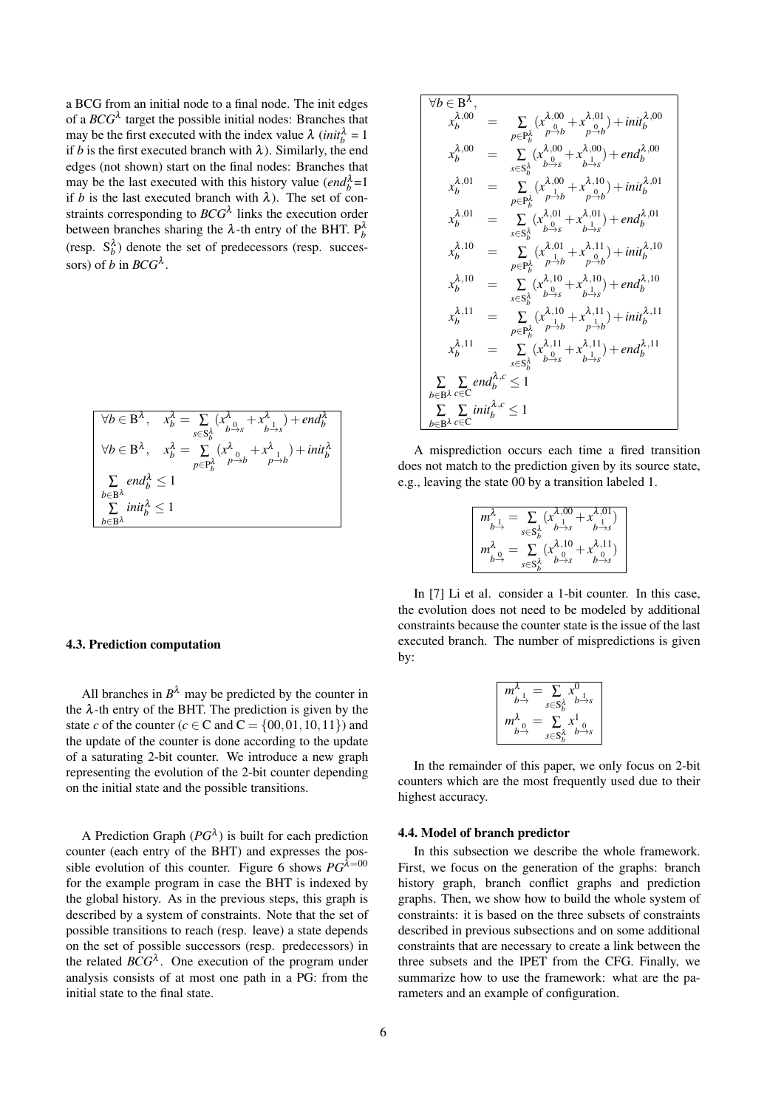a BCG from an initial node to a final node. The init edges of a  $BCG^{\lambda}$  target the possible initial nodes: Branches that may be the first executed with the index value  $\lambda$  (*init*<sub> $b$ </sub><sup> $\lambda$ </sup> = 1 if *b* is the first executed branch with  $\lambda$ ). Similarly, the end edges (not shown) start on the final nodes: Branches that may be the last executed with this history value  $(end_b^{\lambda} = 1$ if *b* is the last executed branch with  $\lambda$ ). The set of constraints corresponding to *BCG*<sup>λ</sup> links the execution order between branches sharing the  $\lambda$ -th entry of the BHT.  $P_b^{\lambda}$ (resp.  $S_b^{\lambda}$ ) denote the set of predecessors (resp. successors) of *b* in  $BCG^{\lambda}$ .

$$
\forall b \in \mathbf{B}^{\lambda}, \quad x_b^{\lambda} = \sum_{s \in \mathbf{S}_b^{\lambda}} (x_{b \to s}^{\lambda} + x_{b \to s}^{\lambda}) + end_b^{\lambda}
$$
  

$$
\forall b \in \mathbf{B}^{\lambda}, \quad x_b^{\lambda} = \sum_{p \in \mathbf{P}_b^{\lambda}} (x_{b \to s}^{\lambda} + x_{b \to b}^{\lambda}) + init_b^{\lambda}
$$
  

$$
\sum_{b \in \mathbf{B}^{\lambda}} end_b^{\lambda} \le 1
$$
  

$$
\sum_{b \in \mathbf{B}^{\lambda}} init_b^{\lambda} \le 1
$$

#### 4.3. Prediction computation

All branches in  $B^{\lambda}$  may be predicted by the counter in the  $\lambda$ -th entry of the BHT. The prediction is given by the state *c* of the counter ( $c \in \mathbb{C}$  and  $\mathbb{C} = \{00, 01, 10, 11\}$ ) and the update of the counter is done according to the update of a saturating 2-bit counter. We introduce a new graph representing the evolution of the 2-bit counter depending on the initial state and the possible transitions.

A Prediction Graph  $(PG^{\lambda})$  is built for each prediction counter (each entry of the BHT) and expresses the possible evolution of this counter. Figure 6 shows  $PG^{\lambda=00}$ for the example program in case the BHT is indexed by the global history. As in the previous steps, this graph is described by a system of constraints. Note that the set of possible transitions to reach (resp. leave) a state depends on the set of possible successors (resp. predecessors) in the related  $BCG^{\lambda}$ . One execution of the program under analysis consists of at most one path in a PG: from the initial state to the final state.

$$
\forall b \in \mathbf{B}^{\lambda},
$$
\n
$$
x_b^{\lambda,00} = \sum_{p \in \mathbf{P}_b^{\lambda}} (x_{\rho \to b}^{\lambda,01} + x_{\rho \to b}^{\lambda,01}) + init_b^{\lambda,00}
$$
\n
$$
x_b^{\lambda,00} = \sum_{s \in \mathbf{S}_b^{\lambda}} (x_{\rho \to s}^{\lambda,00} + x_{\rho \to s}^{\lambda,00}) + end_b^{\lambda,00}
$$
\n
$$
x_b^{\lambda,01} = \sum_{p \in \mathbf{P}_b^{\lambda}} (x_{\rho \to b}^{\lambda,00} + x_{\rho \to b}^{\lambda,10}) + init_b^{\lambda,01}
$$
\n
$$
x_b^{\lambda,01} = \sum_{s \in \mathbf{S}_b^{\lambda}} (x_{\rho \to b}^{\lambda,01} + x_{\rho \to b}^{\lambda,01}) + end_b^{\lambda,01}
$$
\n
$$
x_b^{\lambda,10} = \sum_{s \in \mathbf{S}_b^{\lambda}} (x_{\rho \to s}^{\lambda,01} + x_{\rho \to b}^{\lambda,11}) + init_b^{\lambda,10}
$$
\n
$$
x_b^{\lambda,10} = \sum_{s \in \mathbf{S}_b^{\lambda}} (x_{\rho \to s}^{\lambda,10} + x_{\rho \to b}^{\lambda,11}) + init_b^{\lambda,10}
$$
\n
$$
x_b^{\lambda,11} = \sum_{p \in \mathbf{P}_b^{\lambda}} (x_{\rho \to s}^{\lambda,10} + x_{\rho \to s}^{\lambda,11}) + init_b^{\lambda,11}
$$
\n
$$
x_b^{\lambda,11} = \sum_{p \in \mathbf{P}_b^{\lambda}} (x_{\rho \to s}^{\lambda,11} + x_{\rho \to s}^{\lambda,11}) + end_b^{\lambda,11}
$$
\n
$$
\sum_{s \in \mathbf{S}_b^{\lambda}} \sum_{p \in \mathbf{P}_b^{\lambda}} end_b^{\lambda,c} \le 1
$$
\n
$$
\sum_{b \in \mathbf{B}^{\lambda}} \sum_{c \in C} end_b^{\lambda,c} \le 1
$$

A misprediction occurs each time a fired transition does not match to the prediction given by its source state, e.g., leaving the state 00 by a transition labeled 1.

| $\rightarrow$ s<br>$s \in S^{\lambda}_{\mu}$ |  |
|----------------------------------------------|--|
| $x^{\lambda,10}$<br>$s \in S$                |  |

In [7] Li et al. consider a 1-bit counter. In this case, the evolution does not need to be modeled by additional constraints because the counter state is the issue of the last executed branch. The number of mispredictions is given by:

$$
\begin{bmatrix}\nm_{b\rightarrow}^{1} = \sum_{s \in S_{b}^{\lambda}} x_{b\rightarrow s}^{0} \\
m_{b\rightarrow}^{\lambda} = \sum_{s \in S_{b}^{\lambda}} x_{b\rightarrow s}^{1} \\
m_{b\rightarrow}^{\lambda} = \sum_{s \in S_{b}^{\lambda}} x_{b\rightarrow s}^{1}\n\end{bmatrix}
$$

In the remainder of this paper, we only focus on 2-bit counters which are the most frequently used due to their highest accuracy.

#### 4.4. Model of branch predictor

In this subsection we describe the whole framework. First, we focus on the generation of the graphs: branch history graph, branch conflict graphs and prediction graphs. Then, we show how to build the whole system of constraints: it is based on the three subsets of constraints described in previous subsections and on some additional constraints that are necessary to create a link between the three subsets and the IPET from the CFG. Finally, we summarize how to use the framework: what are the parameters and an example of configuration.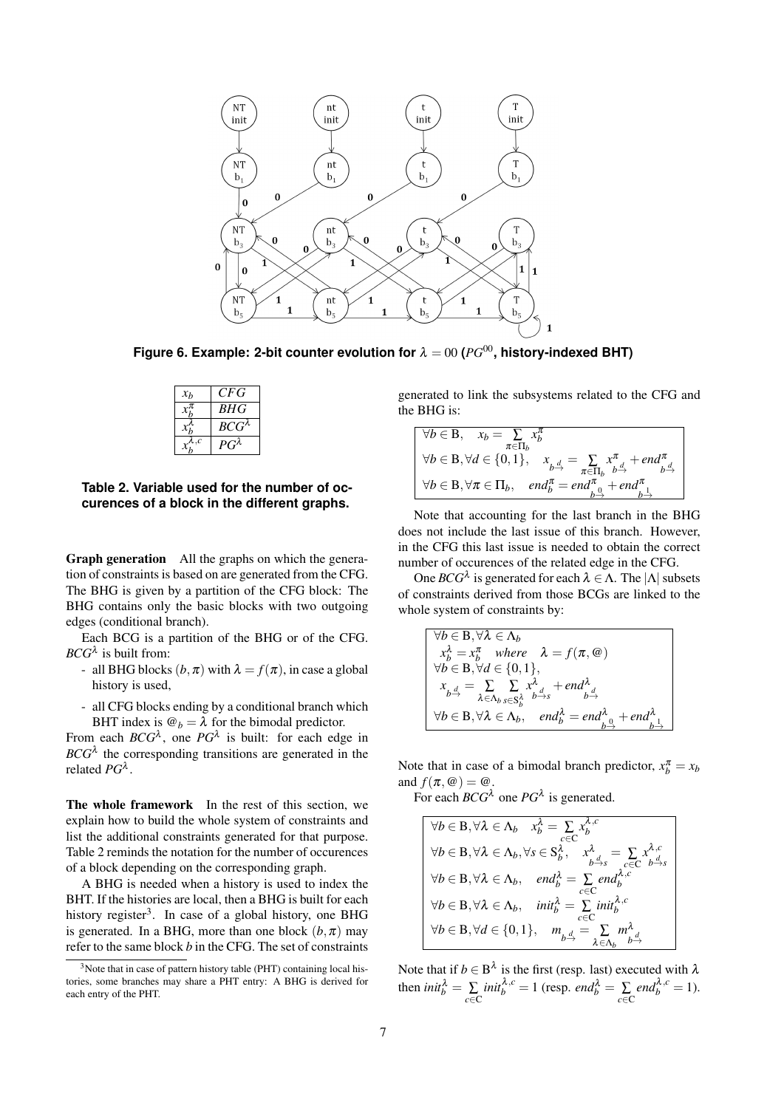

**Figure 6. Example: 2-bit counter evolution for**  $\lambda = 00$  ( $PG^{00}$ , history-indexed BHT)

| x <sub>b</sub> | CFG             |
|----------------|-----------------|
|                | BHG             |
|                | $BCG^{\lambda}$ |
| .c             | $G^{\lambda}$   |

**Table 2. Variable used for the number of occurences of a block in the different graphs.**

Graph generation All the graphs on which the generation of constraints is based on are generated from the CFG. The BHG is given by a partition of the CFG block: The BHG contains only the basic blocks with two outgoing edges (conditional branch).

Each BCG is a partition of the BHG or of the CFG.  $BCG^{\lambda}$  is built from:

- all BHG blocks  $(b, \pi)$  with  $\lambda = f(\pi)$ , in case a global history is used,
- all CFG blocks ending by a conditional branch which BHT index is  $\mathcal{Q}_b = \lambda$  for the bimodal predictor.

From each  $BCG^{\lambda}$ , one  $PG^{\lambda}$  is built: for each edge in  $BCG^{\lambda}$  the corresponding transitions are generated in the related *PG*<sup>λ</sup> .

The whole framework In the rest of this section, we explain how to build the whole system of constraints and list the additional constraints generated for that purpose. Table 2 reminds the notation for the number of occurences of a block depending on the corresponding graph.

A BHG is needed when a history is used to index the BHT. If the histories are local, then a BHG is built for each history register<sup>3</sup>. In case of a global history, one BHG is generated. In a BHG, more than one block  $(b, \pi)$  may refer to the same block *b* in the CFG. The set of constraints generated to link the subsystems related to the CFG and the BHG is:

| $\forall b \in B, x_b = \sum x_b^{\pi}$<br>$\pi \in \Pi_h$                                                                                                                                              |
|---------------------------------------------------------------------------------------------------------------------------------------------------------------------------------------------------------|
| $\Big\vert \ \ \forall b \in \mathbf{B}, \forall d \in \{0,1\}, \quad x_{\underset{b}{\rightarrow}} = \sum_{\pi \in \Pi_b} x_{\underset{b}{\rightarrow}}^{\pi} + end_{\underset{b}{\rightarrow}}^{\pi}$ |
| $\forall b \in B, \forall \pi \in \Pi_b, \quad end_b^{\pi} = end_{b}^{\pi} + end_{b}^{\pi}$                                                                                                             |

Note that accounting for the last branch in the BHG does not include the last issue of this branch. However, in the CFG this last issue is needed to obtain the correct number of occurences of the related edge in the CFG.

One *BCG*<sup>λ</sup> is generated for each λ *∈*Λ. The *|*Λ*|*subsets of constraints derived from those BCGs are linked to the whole system of constraints by:

$$
\begin{cases}\n\forall b \in \mathbf{B}, \forall \lambda \in \Lambda_b \\
x_b^{\lambda} = x_b^{\pi} \quad where \quad \lambda = f(\pi, \mathcal{Q}) \\
\forall b \in \mathbf{B}, \forall d \in \{0, 1\}, \\
x_{b \to} = \sum_{\lambda \in \Lambda_b} \sum_{s \in \mathbf{S}_b^{\lambda}} x_{b \to s}^{\lambda} + end_{b \to s}^{\lambda} \\
\forall b \in \mathbf{B}, \forall \lambda \in \Lambda_b, \quad end_b^{\lambda} = end_{b \to s}^{\lambda} + end_{b \to s}^{\lambda}\n\end{cases}
$$

Note that in case of a bimodal branch predictor,  $x_b^{\pi} = x_b$ and  $f(\pi, \omega) = \omega$ .

For each  $BCG^{\lambda}$  one  $PG^{\lambda}$  is generated.

$$
\forall b \in \mathbf{B}, \forall \lambda \in \Lambda_b \quad x_b^{\lambda} = \sum_{c \in \mathbf{C}} x_b^{\lambda,c}
$$
\n
$$
\forall b \in \mathbf{B}, \forall \lambda \in \Lambda_b, \forall s \in \mathbf{S}_b^{\lambda}, \quad x_{b \to s}^{\lambda} = \sum_{c \in \mathbf{C}} x_{b \to s}^{\lambda,c}
$$
\n
$$
\forall b \in \mathbf{B}, \forall \lambda \in \Lambda_b, \quad end_b^{\lambda} = \sum_{c \in \mathbf{C}} end_b^{\lambda,c}
$$
\n
$$
\forall b \in \mathbf{B}, \forall \lambda \in \Lambda_b, \quad \text{init}_b^{\lambda} = \sum_{c \in \mathbf{C}} \text{init}_b^{\lambda,c}
$$
\n
$$
\forall b \in \mathbf{B}, \forall d \in \{0,1\}, \quad m_{b \to s} = \sum_{\lambda \in \Lambda_b} m_{b \to s}^{\lambda}
$$

Note that if  $b \in B^{\lambda}$  is the first (resp. last) executed with  $\lambda$ then  $init_b^{\lambda} = \sum_{c \in \mathbb{C}} init_b^{\lambda,c} = 1$  (resp.  $end_b^{\lambda} = \sum_{c \in \mathbb{C}} end_b^{\lambda,c} = 1$ ).

 $3$ Note that in case of pattern history table (PHT) containing local histories, some branches may share a PHT entry: A BHG is derived for each entry of the PHT.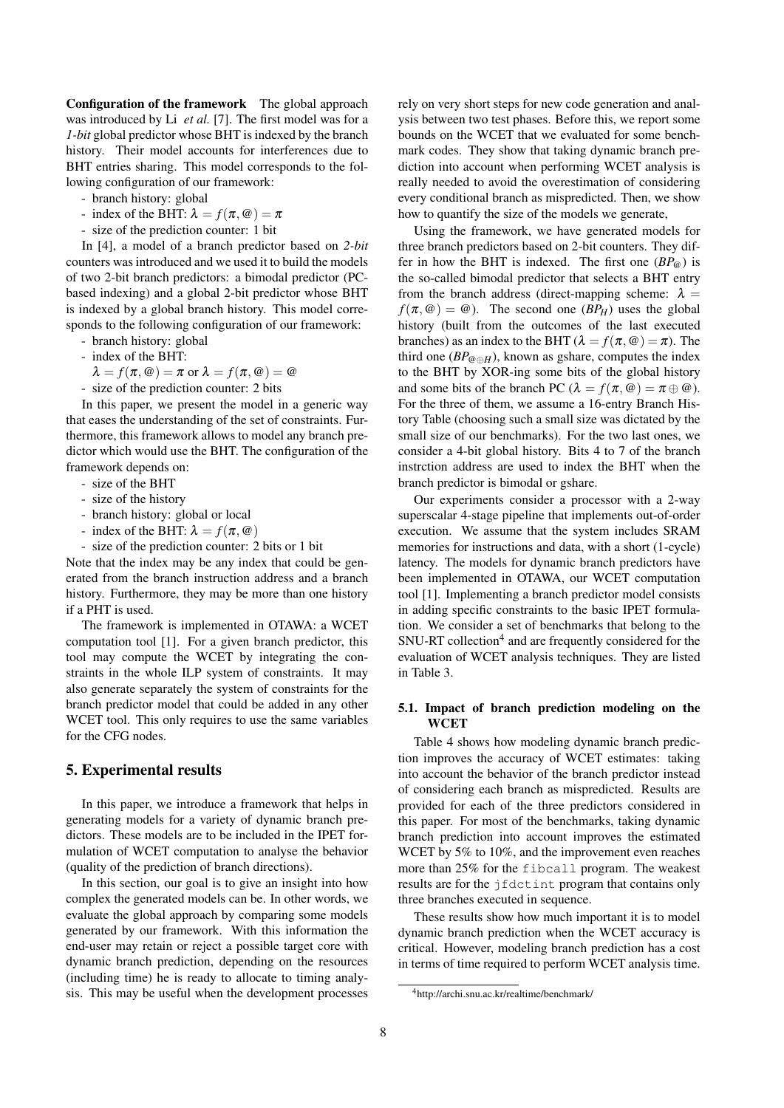Configuration of the framework The global approach was introduced by Li *et al.* [7]. The first model was for a *1-bit* global predictor whose BHT is indexed by the branch history. Their model accounts for interferences due to BHT entries sharing. This model corresponds to the following configuration of our framework:

- branch history: global
- index of the BHT:  $\lambda = f(\pi, \omega) = \pi$
- size of the prediction counter: 1 bit

In [4], a model of a branch predictor based on *2-bit* counters was introduced and we used it to build the models of two 2-bit branch predictors: a bimodal predictor (PCbased indexing) and a global 2-bit predictor whose BHT is indexed by a global branch history. This model corresponds to the following configuration of our framework:

- branch history: global
- index of the BHT:

 $\lambda = f(\pi, \omega) = \pi$  or  $\lambda = f(\pi, \omega) = \omega$ 

- size of the prediction counter: 2 bits

In this paper, we present the model in a generic way that eases the understanding of the set of constraints. Furthermore, this framework allows to model any branch predictor which would use the BHT. The configuration of the framework depends on:

- size of the BHT
- size of the history
- branch history: global or local
- index of the BHT:  $\lambda = f(\pi, \omega)$
- size of the prediction counter: 2 bits or 1 bit

Note that the index may be any index that could be generated from the branch instruction address and a branch history. Furthermore, they may be more than one history if a PHT is used.

The framework is implemented in OTAWA: a WCET computation tool [1]. For a given branch predictor, this tool may compute the WCET by integrating the constraints in the whole ILP system of constraints. It may also generate separately the system of constraints for the branch predictor model that could be added in any other WCET tool. This only requires to use the same variables for the CFG nodes.

## 5. Experimental results

In this paper, we introduce a framework that helps in generating models for a variety of dynamic branch predictors. These models are to be included in the IPET formulation of WCET computation to analyse the behavior (quality of the prediction of branch directions).

In this section, our goal is to give an insight into how complex the generated models can be. In other words, we evaluate the global approach by comparing some models generated by our framework. With this information the end-user may retain or reject a possible target core with dynamic branch prediction, depending on the resources (including time) he is ready to allocate to timing analysis. This may be useful when the development processes rely on very short steps for new code generation and analysis between two test phases. Before this, we report some bounds on the WCET that we evaluated for some benchmark codes. They show that taking dynamic branch prediction into account when performing WCET analysis is really needed to avoid the overestimation of considering every conditional branch as mispredicted. Then, we show how to quantify the size of the models we generate,

Using the framework, we have generated models for three branch predictors based on 2-bit counters. They differ in how the BHT is indexed. The first one  $(BP_{\omega})$  is the so-called bimodal predictor that selects a BHT entry from the branch address (direct-mapping scheme:  $\lambda =$  $f(\pi, \omega) = \omega$ . The second one  $(BP_H)$  uses the global history (built from the outcomes of the last executed branches) as an index to the BHT ( $\lambda = f(\pi, \omega) = \pi$ ). The third one ( $BP_{@\oplus H}$ ), known as gshare, computes the index to the BHT by XOR-ing some bits of the global history and some bits of the branch PC ( $\lambda = f(\pi, \omega) = \pi \oplus \omega$ ). For the three of them, we assume a 16-entry Branch History Table (choosing such a small size was dictated by the small size of our benchmarks). For the two last ones, we consider a 4-bit global history. Bits 4 to 7 of the branch instrction address are used to index the BHT when the branch predictor is bimodal or gshare.

Our experiments consider a processor with a 2-way superscalar 4-stage pipeline that implements out-of-order execution. We assume that the system includes SRAM memories for instructions and data, with a short (1-cycle) latency. The models for dynamic branch predictors have been implemented in OTAWA, our WCET computation tool [1]. Implementing a branch predictor model consists in adding specific constraints to the basic IPET formulation. We consider a set of benchmarks that belong to the SNU-RT collection<sup>4</sup> and are frequently considered for the evaluation of WCET analysis techniques. They are listed in Table 3.

## 5.1. Impact of branch prediction modeling on the **WCET**

Table 4 shows how modeling dynamic branch prediction improves the accuracy of WCET estimates: taking into account the behavior of the branch predictor instead of considering each branch as mispredicted. Results are provided for each of the three predictors considered in this paper. For most of the benchmarks, taking dynamic branch prediction into account improves the estimated WCET by 5% to 10%, and the improvement even reaches more than 25% for the fibcall program. The weakest results are for the jfdctint program that contains only three branches executed in sequence.

These results show how much important it is to model dynamic branch prediction when the WCET accuracy is critical. However, modeling branch prediction has a cost in terms of time required to perform WCET analysis time.

<sup>4</sup>http://archi.snu.ac.kr/realtime/benchmark/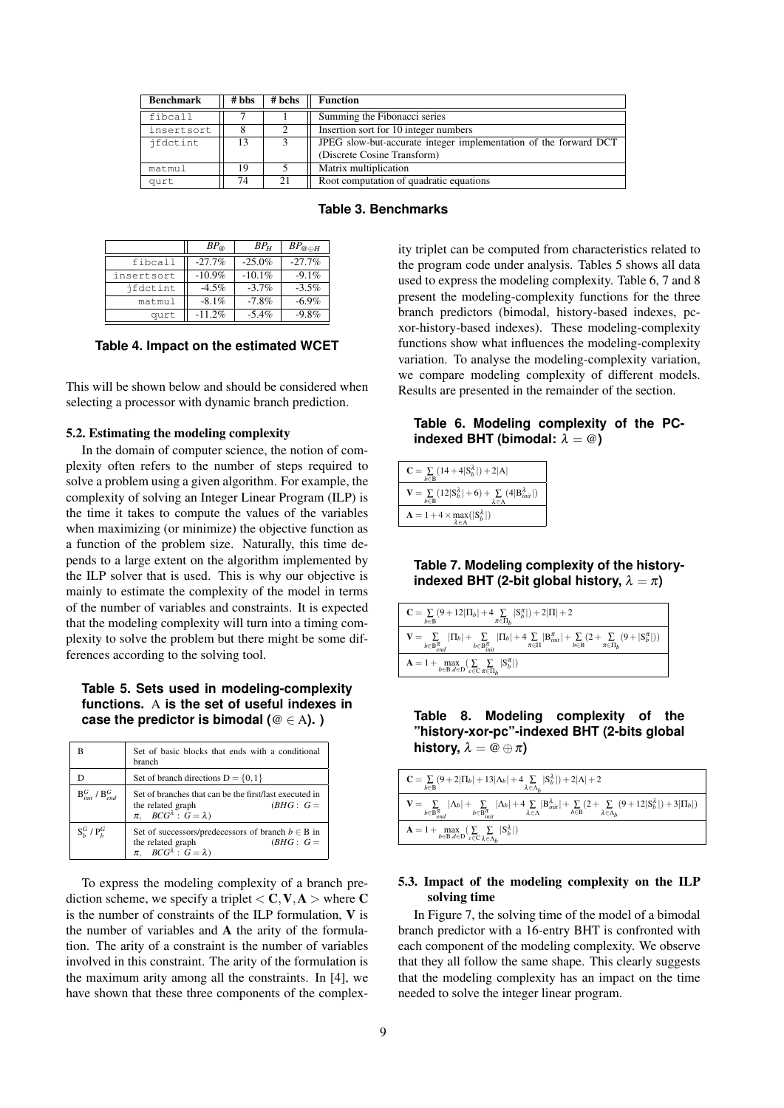| <b>Benchmark</b> | # bbs | # bchs         | <b>Function</b>                                                  |  |
|------------------|-------|----------------|------------------------------------------------------------------|--|
| fibcall          |       |                | Summing the Fibonacci series                                     |  |
| insertsort       | 8     | $\overline{c}$ | Insertion sort for 10 integer numbers                            |  |
| ifdctint         | 13    |                | JPEG slow-but-accurate integer implementation of the forward DCT |  |
|                  |       |                | (Discrete Cosine Transform)                                      |  |
| matmul           | 19    |                | Matrix multiplication                                            |  |
| qurt             | 74    | 21             | Root computation of quadratic equations                          |  |

**Table 3. Benchmarks**

|            | $BP_{@}$ | $BP_H$   | $BP_{@ \oplus H}$ |
|------------|----------|----------|-------------------|
| fibcall    | $-27.7%$ | $-25.0%$ | $-27.7%$          |
| insertsort | $-10.9%$ | $-10.1%$ | $-9.1\%$          |
| ifdctint   | $-4.5\%$ | $-3.7\%$ | $-3.5%$           |
| matmul     | $-8.1\%$ | $-7.8%$  | $-6.9\%$          |
| qurt       | $-11.2%$ | $-5.4\%$ | $-9.8\%$          |

#### **Table 4. Impact on the estimated WCET**

This will be shown below and should be considered when selecting a processor with dynamic branch prediction.

#### 5.2. Estimating the modeling complexity

In the domain of computer science, the notion of complexity often refers to the number of steps required to solve a problem using a given algorithm. For example, the complexity of solving an Integer Linear Program (ILP) is the time it takes to compute the values of the variables when maximizing (or minimize) the objective function as a function of the problem size. Naturally, this time depends to a large extent on the algorithm implemented by the ILP solver that is used. This is why our objective is mainly to estimate the complexity of the model in terms of the number of variables and constraints. It is expected that the modeling complexity will turn into a timing complexity to solve the problem but there might be some differences according to the solving tool.

## **Table 5. Sets used in modeling-complexity functions.** A **is the set of useful indexes in case the predictor is bimodal (**@ *∈* A**). )**

|                           | Set of basic blocks that ends with a conditional<br>branch                                                                              |
|---------------------------|-----------------------------------------------------------------------------------------------------------------------------------------|
|                           | Set of branch directions $D = \{0, 1\}$                                                                                                 |
| $B_{int}^G$ / $B_{int}^G$ | Set of branches that can be the first/last executed in<br>the related graph<br>$(BHG: G =$<br>$\pi$ , $BCG^{\lambda}$ : $G = \lambda$ ) |
| $SkG$ / $PkG$             | Set of successors/predecessors of branch $b \in B$ in<br>the related graph<br>$\pi$ , $BCG^{\lambda}$ : $G = \lambda$ )<br>$(BHG: G =$  |

To express the modeling complexity of a branch prediction scheme, we specify a triplet  $\langle C, V, A \rangle$  where C is the number of constraints of the ILP formulation, V is the number of variables and A the arity of the formulation. The arity of a constraint is the number of variables involved in this constraint. The arity of the formulation is the maximum arity among all the constraints. In [4], we have shown that these three components of the complexity triplet can be computed from characteristics related to the program code under analysis. Tables 5 shows all data used to express the modeling complexity. Table 6, 7 and 8 present the modeling-complexity functions for the three branch predictors (bimodal, history-based indexes, pcxor-history-based indexes). These modeling-complexity functions show what influences the modeling-complexity variation. To analyse the modeling-complexity variation, we compare modeling complexity of different models. Results are presented in the remainder of the section.

**Table 6. Modeling complexity of the PCindexed BHT (bimodal:**  $\lambda = \omega$ )

| $C = \sum (14 + 4 S_h^{\lambda} ) + 2 A $<br>$h \in B$                                                                                 |
|----------------------------------------------------------------------------------------------------------------------------------------|
| $\mathbf{V} = \sum_{b \in \mathbf{B}} (12 \mathbf{S}_b^{\lambda} +6) + \sum_{\lambda \in \mathbf{A}} (4 \mathbf{B}_{init}^{\lambda} )$ |
| $\mathbf{A} = 1 + 4 \times \max_{\lambda \in A} ( \mathbf{S}_{b}^{\lambda} )$                                                          |

**Table 7. Modeling complexity of the historyindexed BHT (2-bit global history,**  $\lambda = \pi$ )

| $C = \sum (9 + 12 \Pi_b  + 4 \sum  S_b^{\pi}  + 2 \Pi  + 2$<br>$h \in B$<br>$\pi \in \Pi_h$                                                                                                                                                                                                                                                   |  |  |  |
|-----------------------------------------------------------------------------------------------------------------------------------------------------------------------------------------------------------------------------------------------------------------------------------------------------------------------------------------------|--|--|--|
| $\mathbf{V} = \sum_{b \in \mathbf{B}^{\pi}}  \Pi_b  + \sum_{b \in \mathbf{B}^{\pi}}  \Pi_b  + 4 \sum_{\pi \in \Pi}  \mathbf{B}_{init}^{\pi}  + \sum_{b \in \mathbf{B}} (2 + \sum_{\pi \in \Pi_b} (9 +  \mathbf{S}_{b}^{\pi} ))$<br>$b \in \overline{\mathbf{B}}_{end}^{\overline{\pi}}$ $b \in \overline{\mathbf{B}}_{init}^{\overline{\pi}}$ |  |  |  |
| $\mathbf{A} = 1 + \max_{b \in \mathbf{B}, d \in \mathbf{D}} \left( \sum_{c \in \mathbf{C}} \sum_{\pi \in \Pi_h}  S_b^{\pi}  \right)$                                                                                                                                                                                                          |  |  |  |

**Table 8. Modeling complexity of the "history-xor-pc"-indexed BHT (2-bits global history,**  $\lambda = \omega \oplus \pi$ 

| $C = \sum_{b} (9 + 2 \Pi_b  + 13 \Lambda_b  + 4 \sum_{b}  S_b^{\lambda}  + 2 \Lambda  + 2$<br>$\lambda \in \Lambda_h$<br>$b \in B$                                                                                                                                                                                                                       |
|----------------------------------------------------------------------------------------------------------------------------------------------------------------------------------------------------------------------------------------------------------------------------------------------------------------------------------------------------------|
| $\mathbf{V} = \sum_{b \in \mathbf{B}_{end}^{\pi} \frac{ \Lambda_b }{\Delta_b \mathbf{E}_{end}^{\pi}} - \sum_{b \in \mathbf{B}_{int}^{\pi} \frac{ \Lambda_b }{\Delta_b \mathbf{E}} + \sum_{\lambda \in \Lambda}  \mathbf{B}_{init}^{\lambda}  + \sum_{b \in \mathbf{B}} (2 + \sum_{\lambda \in \Lambda_b} (9 + 12 \mathbf{S}_{b}^{\lambda} ) + 3 \Pi_b )$ |
| $\mathbf{A} = 1 + \max_{b \in \mathbf{B}, d \in \mathbf{D}} (\sum_{c \in \mathbf{C}} \sum_{\lambda \in \Lambda_b}  S_b^{\lambda} )$                                                                                                                                                                                                                      |

## 5.3. Impact of the modeling complexity on the ILP solving time

In Figure 7, the solving time of the model of a bimodal branch predictor with a 16-entry BHT is confronted with each component of the modeling complexity. We observe that they all follow the same shape. This clearly suggests that the modeling complexity has an impact on the time needed to solve the integer linear program.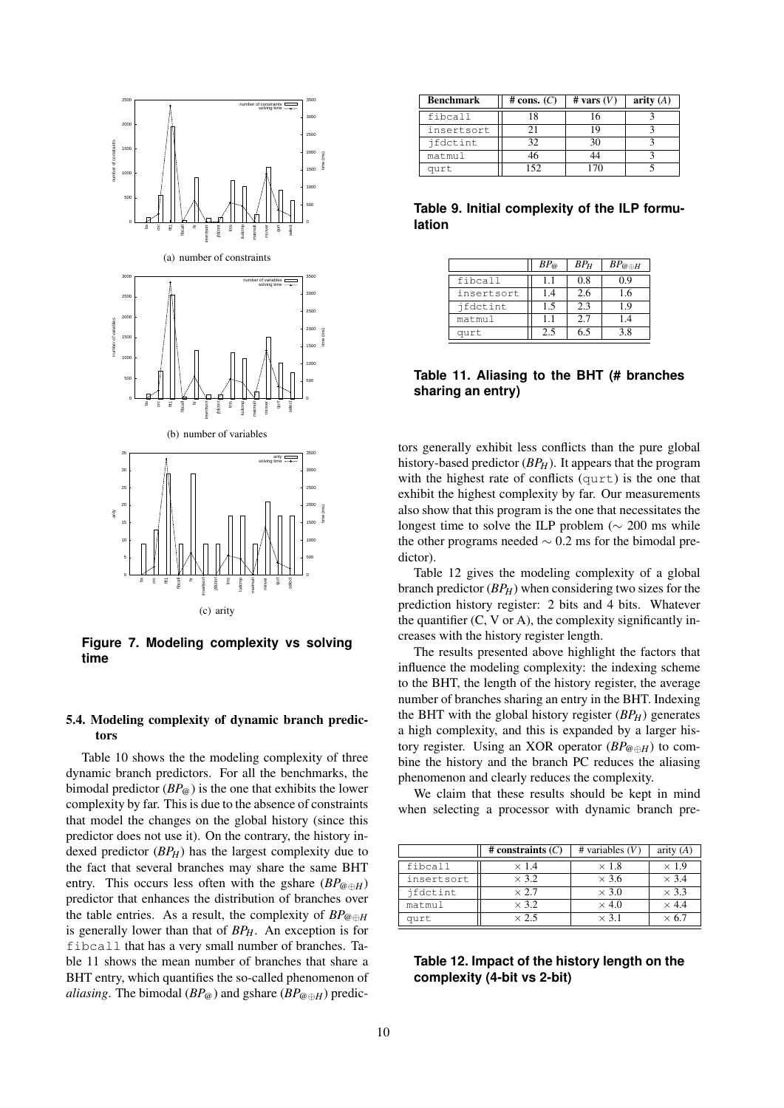

**Figure 7. Modeling complexity vs solving time**

## 5.4. Modeling complexity of dynamic branch predictors

Table 10 shows the the modeling complexity of three dynamic branch predictors. For all the benchmarks, the bimodal predictor  $(BP_{\varphi})$  is the one that exhibits the lower complexity by far. This is due to the absence of constraints that model the changes on the global history (since this predictor does not use it). On the contrary, the history indexed predictor (*BPH*) has the largest complexity due to the fact that several branches may share the same BHT entry. This occurs less often with the gshare (*BP*@*⊕H*) predictor that enhances the distribution of branches over the table entries. As a result, the complexity of  $BP_{@\oplus H}$ is generally lower than that of *BPH*. An exception is for fibcall that has a very small number of branches. Table 11 shows the mean number of branches that share a BHT entry, which quantifies the so-called phenomenon of *aliasing*. The bimodal ( $BP_{@}$ ) and gshare ( $BP_{@} \oplus H$ ) predic-

| Benchmark  | # cons. $(C)$ | # vars $(V)$ | arity $(A)$ |
|------------|---------------|--------------|-------------|
| fibcall    |               |              |             |
| insertsort |               |              |             |
| ifdctint   | 32            | 30           |             |
| matmul     |               |              |             |
| qurt       | ドラ            |              |             |

**Table 9. Initial complexity of the ILP formulation**

|            | $BP_{@}$ | $BP_H$ | $BP_{@ \oplus H}$ |
|------------|----------|--------|-------------------|
| fibcall    | H        | 0.8    | ገ 9               |
| insertsort | 14       | 2.6    | 1.6               |
| ifdctint   | 1.5      | 2.3    | 19                |
| matmul     | 11       | 2.7    | 1.4               |
| qurt       | 2.5      | 6.5    | 38                |

## **Table 11. Aliasing to the BHT (# branches sharing an entry)**

tors generally exhibit less conflicts than the pure global history-based predictor (*BP<sub>H</sub>*). It appears that the program with the highest rate of conflicts (qurt) is the one that exhibit the highest complexity by far. Our measurements also show that this program is the one that necessitates the longest time to solve the ILP problem (*∼* 200 ms while the other programs needed *∼* 0.2 ms for the bimodal predictor).

Table 12 gives the modeling complexity of a global branch predictor (*BPH*) when considering two sizes for the prediction history register: 2 bits and 4 bits. Whatever the quantifier  $(C, V \text{ or } A)$ , the complexity significantly increases with the history register length.

The results presented above highlight the factors that influence the modeling complexity: the indexing scheme to the BHT, the length of the history register, the average number of branches sharing an entry in the BHT. Indexing the BHT with the global history register (*BPH*) generates a high complexity, and this is expanded by a larger history register. Using an XOR operator (*BP*@*⊕H*) to combine the history and the branch PC reduces the aliasing phenomenon and clearly reduces the complexity.

We claim that these results should be kept in mind when selecting a processor with dynamic branch pre-

|            | # constraints $(C)$ | # variables $(V)$ | arity $(A)$  |
|------------|---------------------|-------------------|--------------|
| fibcall    | $\times$ 1.4        | $\times$ 1.8      | $\times$ 1.9 |
| insertsort | $\times$ 3.2        | $\times$ 3.6      | $\times$ 3.4 |
| ifdctint   | $\times$ 2.7        | $\times$ 3.0      | $\times$ 3.3 |
| matmul     | $\times$ 3.2        | $\times$ 4.0      | $\times$ 4.4 |
| qurt       | $\times$ 2.5        | $\times$ 3.1      | 67           |

**Table 12. Impact of the history length on the complexity (4-bit vs 2-bit)**